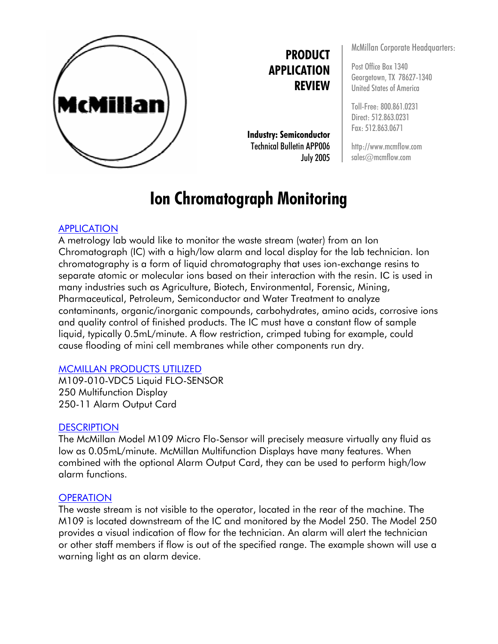

**PRODUCT APPLICATION REVIEW**

**Industry: Semiconductor** Technical Bulletin APP006 July 2005

# **Ion Chromatograph Monitoring**

## APPLICATION

A metrology lab would like to monitor the waste stream (water) from an Ion Chromatograph (IC) with a high/low alarm and local display for the lab technician. Ion chromatography is a form of liquid chromatography that uses ion-exchange resins to separate atomic or molecular ions based on their interaction with the resin. IC is used in many industries such as Agriculture, Biotech, Environmental, Forensic, Mining, Pharmaceutical, Petroleum, Semiconductor and Water Treatment to analyze contaminants, organic/inorganic compounds, carbohydrates, amino acids, corrosive ions and quality control of finished products. The IC must have a constant flow of sample liquid, typically 0.5mL/minute. A flow restriction, crimped tubing for example, could cause flooding of mini cell membranes while other components run dry.

#### MCMILLAN PRODUCTS UTILIZED

M109-010-VDC5 Liquid FLO-SENSOR 250 Multifunction Display 250-11 Alarm Output Card

#### **DESCRIPTION**

The McMillan Model M109 Micro Flo-Sensor will precisely measure virtually any fluid as low as 0.05mL/minute. McMillan Multifunction Displays have many features. When combined with the optional Alarm Output Card, they can be used to perform high/low alarm functions.

#### **OPERATION**

The waste stream is not visible to the operator, located in the rear of the machine. The M109 is located downstream of the IC and monitored by the Model 250. The Model 250 provides a visual indication of flow for the technician. An alarm will alert the technician or other staff members if flow is out of the specified range. The example shown will use a warning light as an alarm device.

McMillan Corporate Headquarters:

Post Office Box 1340 Georgetown, TX 78627-1340 United States of America

Toll-Free: 800.861.0231 Direct: 512.863.0231 Fax: 512.863.0671

http://www.mcmflow.com sales@mcmflow.com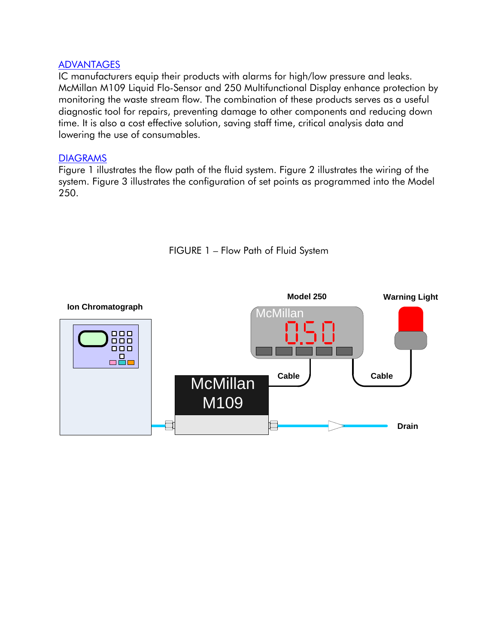### ADVANTAGES

IC manufacturers equip their products with alarms for high/low pressure and leaks. McMillan M109 Liquid Flo-Sensor and 250 Multifunctional Display enhance protection by monitoring the waste stream flow. The combination of these products serves as a useful diagnostic tool for repairs, preventing damage to other components and reducing down time. It is also a cost effective solution, saving staff time, critical analysis data and lowering the use of consumables.

#### **DIAGRAMS**

Figure 1 illustrates the flow path of the fluid system. Figure 2 illustrates the wiring of the system. Figure 3 illustrates the configuration of set points as programmed into the Model 250.